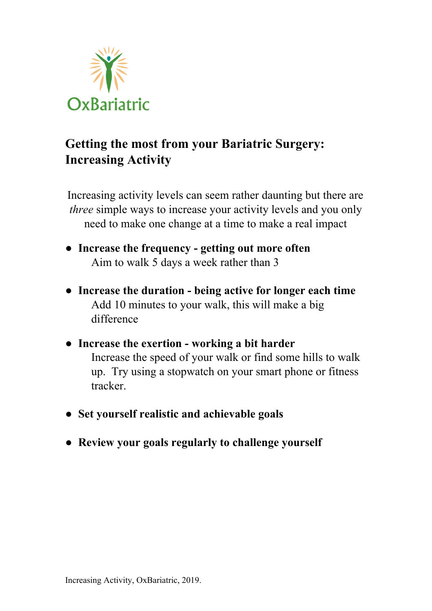

## **Getting the most from your Bariatric Surgery: Increasing Activity**

Increasing activity levels can seem rather daunting but there are *three* simple ways to increase your activity levels and you only need to make one change at a time to make a real impact

- **Increase the frequency - getting out more often** Aim to walk 5 days a week rather than 3
- **Increase the duration - being active for longer each time** Add 10 minutes to your walk, this will make a big difference
- **Increase the exertion - working a bit harder** Increase the speed of your walk or find some hills to walk up. Try using a stopwatch on your smart phone or fitness tracker.
- **Set yourself realistic and achievable goals**
- **Review your goals regularly to challenge yourself**